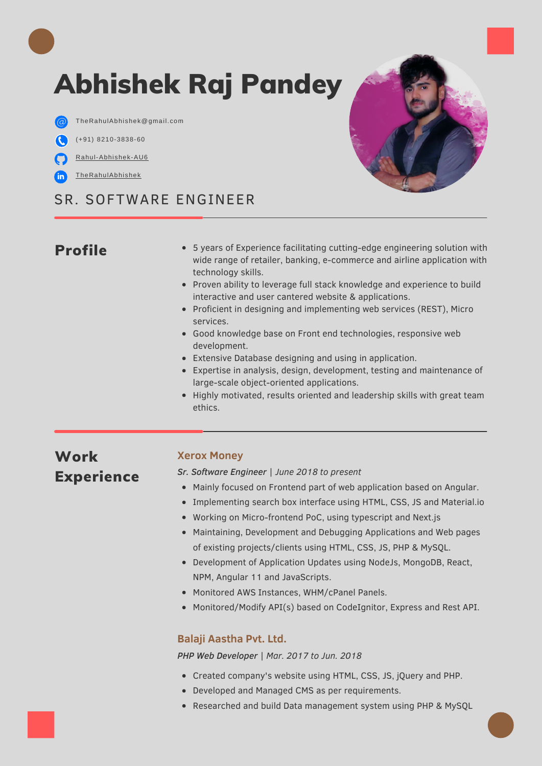# Abhishek Raj Pandey

 $\label{thm:Rahulabh} The RahulAbh is hek@gmail.com$ 

- (+91) 8210-3838-60
- [Rahul-Abhishek-AU6](https://github.com/Rahul-Abhishek-AU6/)
- [TheRahulAbhishek](https://www.linkedin.com/in/THERAHULABHISHEK/)

### SR. SOFTWARE ENGINEER

### Profile

- 5 years of Experience facilitating cutting-edge engineering solution with wide range of retailer, banking, e-commerce and airline application with technology skills.
- Proven ability to leverage full stack knowledge and experience to build interactive and user cantered website & applications.
- Proficient in designing and implementing web services (REST), Micro services.
- Good knowledge base on Front end technologies, responsive web development.
- Extensive Database designing and using in application.
- Expertise in analysis, design, development, testing and maintenance of large-scale object-oriented applications.
- Highly motivated, results oriented and leadership skills with great team ethics.

### Work Experience

### **Xerox Money**

*Sr. Software Engineer | June 2018 to present*

- Mainly focused on Frontend part of web application based on Angular.
- Implementing search box interface using HTML, CSS, JS and Material.io
- Working on Micro-frontend PoC, using typescript and Next.js
- Maintaining, Development and Debugging Applications and Web pages of existing projects/clients using HTML, CSS, JS, PHP & MySQL.
- Development of Application Updates using NodeJs, MongoDB, React, NPM, Angular 11 and JavaScripts.
- Monitored AWS Instances, WHM/cPanel Panels.
- Monitored/Modify API(s) based on CodeIgnitor, Express and Rest API.

#### **Balaji Aastha Pvt. Ltd.**

*PHP Web Developer | Mar. 2017 to Jun. 2018*

- Created company's website using HTML, CSS, JS, jQuery and PHP.
- Developed and Managed CMS as per requirements.
- Researched and build Data management system using PHP & MySQL